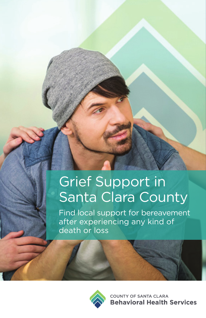# Grief Support in Santa Clara County

Find local support for bereavement after experiencing any kind of death or loss



**COUNTY OF SANTA CLARA Behavioral Health Services**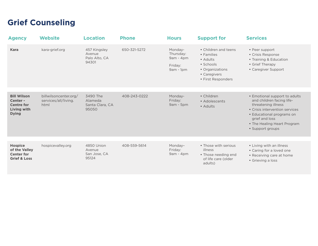### **Grief Counseling**

| <b>Agency</b>                                                                      | <b>Website</b>                                        | <b>Location</b>                                  | <b>Phone</b> | <b>Hours</b>                                                  | <b>Support for</b>                                                                                                   | <b>Services</b>                                                                                                                                                                                                       |
|------------------------------------------------------------------------------------|-------------------------------------------------------|--------------------------------------------------|--------------|---------------------------------------------------------------|----------------------------------------------------------------------------------------------------------------------|-----------------------------------------------------------------------------------------------------------------------------------------------------------------------------------------------------------------------|
| <b>Kara</b>                                                                        | kara-grief.org                                        | 457 Kingsley<br>Avenue<br>Palo Alto, CA<br>94301 | 650-321-5272 | Monday-<br>Thursday:<br>$9am - 4pm$<br>Friday:<br>$9am - 1pm$ | • Children and teens<br>• Families<br>• Adults<br>• Schools<br>• Organizations<br>• Caregivers<br>• First Responders | • Peer support<br>• Crisis Response<br>• Training & Education<br>• Grief Therapy<br>• Caregiver Support                                                                                                               |
| <b>Bill Wilson</b><br>Center -<br><b>Centre for</b><br>Living with<br><b>Dying</b> | billwilsoncenter.org/<br>services/all/living.<br>html | 3490 The<br>Alameda<br>Santa Clara, CA<br>95050  | 408-243-0222 | Monday-<br>Friday:<br>$9am - 5pm$                             | • Children<br>• Adolescents<br>• Adults                                                                              | • Emotional support to adults<br>and children facing life-<br>threatening illness<br>• Crisis intervention services<br>• Educational programs on<br>grief and loss<br>• The Healing Heart Program<br>• Support groups |
| <b>Hospice</b><br>of the Valley<br><b>Center for</b><br><b>Grief &amp; Loss</b>    | hospicevalley.org                                     | 4850 Union<br>Avenue<br>San Jose, CA<br>95124    | 408-559-5614 | Monday-<br>Friday:<br>9am - 4pm                               | • Those with serious<br>illness<br>• Those needing end<br>of life care (older<br>adults)                             | • Living with an illness<br>• Caring for a loved one<br>• Receiving care at home<br>• Grieving a loss                                                                                                                 |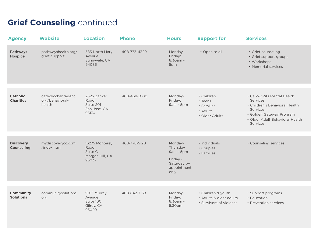## **Grief Counseling continued**

| <b>Agency</b>                         | <b>Website</b>                                     | <b>Location</b>                                               | <b>Phone</b> | <b>Hours</b>                                                                       | <b>Support for</b>                                                       | <b>Services</b>                                                                                                                                               |
|---------------------------------------|----------------------------------------------------|---------------------------------------------------------------|--------------|------------------------------------------------------------------------------------|--------------------------------------------------------------------------|---------------------------------------------------------------------------------------------------------------------------------------------------------------|
| <b>Pathways</b><br><b>Hospice</b>     | pathwayshealth.org/<br>grief-support               | 585 North Mary<br>Avenue<br>Sunnyvale, CA<br>94085            | 408-773-4329 | Monday-<br>Friday:<br>8:30am -<br>5pm                                              | · Open to all                                                            | · Grief counseling<br>• Grief support groups<br>• Workshops<br>• Memorial services                                                                            |
|                                       |                                                    |                                                               |              |                                                                                    |                                                                          |                                                                                                                                                               |
| <b>Catholic</b><br><b>Charities</b>   | catholiccharitiesscc.<br>org/behavioral-<br>health | 2625 Zanker<br>Road<br>Suite 201<br>San Jose, CA<br>95134     | 408-468-0100 | Monday-<br>Friday:<br>9am - 5pm                                                    | • Children<br>• Teens<br>• Families<br>• Adults<br>• Older Adults        | • CalWORKs Mental Health<br>Services<br>• Children's Behavioral Health<br>Services<br>· Golden Gateway Program<br>• Older Adult Behavioral Health<br>Services |
|                                       |                                                    |                                                               |              |                                                                                    |                                                                          |                                                                                                                                                               |
| <b>Discovery</b><br><b>Counseling</b> | mydiscoverycc.com<br>/index.html                   | 16275 Monterey<br>Road<br>Suite C<br>Morgan Hill, CA<br>95037 | 408-778-5120 | Monday-<br>Thursday<br>9am - 5pm<br>Friday -<br>Saturday by<br>appointment<br>only | • Individuals<br>• Couples<br>• Families                                 | • Counseling services                                                                                                                                         |
|                                       |                                                    |                                                               |              |                                                                                    |                                                                          |                                                                                                                                                               |
| <b>Community</b><br><b>Solutions</b>  | communitysolutions.<br>org                         | 9015 Murray<br>Avenue<br>Suite 100<br>Gilroy, CA<br>95020     | 408-842-7138 | Monday-<br>Friday:<br>8:30am -<br>5:30pm                                           | · Children & youth<br>• Adults & older adults<br>• Survivors of violence | • Support programs<br>• Education<br>• Prevention services                                                                                                    |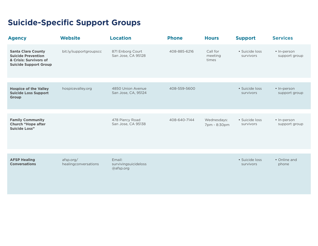## **Suicide-Specific Support Groups**

| <b>Agency</b>                                                                                                    | <b>Website</b>                    | <b>Location</b>                             | <b>Phone</b> | <b>Hours</b>                 | <b>Support</b>              | <b>Services</b>              |
|------------------------------------------------------------------------------------------------------------------|-----------------------------------|---------------------------------------------|--------------|------------------------------|-----------------------------|------------------------------|
| <b>Santa Clara County</b><br><b>Suicide Prevention</b><br>& Crisis: Survivors of<br><b>Suicide Support Group</b> | bit.ly/supportgroupscc            | 871 Enborg Court<br>San Jose, CA 95128      | 408-885-6216 | Call for<br>meeting<br>times | · Suicide loss<br>survivors | • In-person<br>support group |
|                                                                                                                  |                                   |                                             |              |                              |                             |                              |
| <b>Hospice of the Valley</b><br><b>Suicide Loss Support</b><br>Group                                             | hospicevalley.org                 | 4850 Union Avenue<br>San Jose, CA, 95124    | 408-559-5600 |                              | • Suicide loss<br>survivors | • In-person<br>support group |
|                                                                                                                  |                                   |                                             |              |                              |                             |                              |
| <b>Family Community</b><br><b>Church "Hope after</b><br><b>Suicide Loss"</b>                                     |                                   | 478 Piercy Road<br>San Jose, CA 95138       | 408-640-7144 | Wednesdays:<br>7pm - 8:30pm  | • Suicide loss<br>survivors | • In-person<br>support group |
|                                                                                                                  |                                   |                                             |              |                              |                             |                              |
| <b>AFSP Healing</b><br><b>Conversations</b>                                                                      | afsp.org/<br>healingconversations | Email:<br>survivingsuicideloss<br>@afsp.org |              |                              | · Suicide loss<br>survivors | • Online and<br>phone        |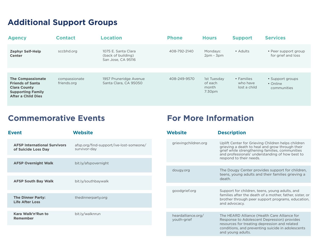### **Additional Support Groups**

| <b>Agency</b>                                                                                                                       | <b>Contact</b>               | <b>Location</b>                                                 | <b>Phone</b> | <b>Hours</b>                                          | <b>Support</b>                         | <b>Services</b>                             |
|-------------------------------------------------------------------------------------------------------------------------------------|------------------------------|-----------------------------------------------------------------|--------------|-------------------------------------------------------|----------------------------------------|---------------------------------------------|
| <b>Zephyr Self-Help</b><br><b>Center</b>                                                                                            | sccbhd.org                   | 1075 E. Santa Clara<br>(back of building)<br>San Jose, CA 95116 | 408-792-2140 | Mondays:<br>$2pm - 3pm$                               | • Adults                               | • Peer support group<br>for grief and loss  |
|                                                                                                                                     |                              |                                                                 |              |                                                       |                                        |                                             |
| <b>The Compassionate</b><br><b>Friends of Santa</b><br><b>Clara County</b><br><b>Supporting Family</b><br><b>After a Child Dies</b> | compassionate<br>friends.org | 1957 Pruneridge Avenue<br>Santa Clara, CA 95050                 | 408-249-9570 | 1st Tuesday<br>of each<br>month<br>7:30 <sub>pm</sub> | • Families<br>who have<br>lost a child | • Support groups<br>• Online<br>communities |

### **Commemorative Events For More Information**

| <b>Event</b>                                               | <b>Website</b>                                          |  | <b>Website</b>                    | <b>Description</b>                                                                                                                                                                                          |  |
|------------------------------------------------------------|---------------------------------------------------------|--|-----------------------------------|-------------------------------------------------------------------------------------------------------------------------------------------------------------------------------------------------------------|--|
| <b>AFSP International Survivors</b><br>of Suicide Loss Day | afsp.org/find-support/ive-lost-someone/<br>survivor-day |  | grievingchildren.org              | Uplift Center for Grieving Children helps children<br>grieving a death to heal and grow through their<br>grief while strengthening families, communities<br>and professionals' understanding of how best to |  |
| <b>AFSP Overnight Walk</b>                                 | bit.ly/afspovernight                                    |  |                                   | respond to their needs.                                                                                                                                                                                     |  |
|                                                            |                                                         |  | dougy.org                         | The Dougy Center provides support for children,<br>teens, young adults and their families grieving a                                                                                                        |  |
| <b>AFSP South Bay Walk</b>                                 | bit.ly/southbaywalk                                     |  |                                   | death.                                                                                                                                                                                                      |  |
|                                                            |                                                         |  | goodgrief.org                     | Support for children, teens, young adults, and                                                                                                                                                              |  |
| <b>The Dinner Party:</b><br><b>Life After Loss</b>         | thedinnerparty.org                                      |  |                                   | families after the death of a mother, father, sister, or<br>brother through peer support programs, education,<br>and advocacy.                                                                              |  |
|                                                            |                                                         |  |                                   |                                                                                                                                                                                                             |  |
| Kara Walk'n'Run to<br><b>Remember</b>                      | bit.ly/walknrun                                         |  | heardalliance.org/<br>youth-grief | The HEARD Alliance (Health Care Alliance for<br>Response to Adolescent Depression) provides<br>resources for treating depression and related                                                                |  |
|                                                            |                                                         |  |                                   | conditions, and preventing suicide in adolescents<br>and young adults.                                                                                                                                      |  |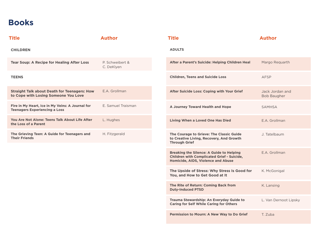### **Books**

| <b>Title</b>                                                                                | <b>Author</b>                 | <b>Title</b>                                                                                                                               | <b>Author</b>                         |
|---------------------------------------------------------------------------------------------|-------------------------------|--------------------------------------------------------------------------------------------------------------------------------------------|---------------------------------------|
| <b>CHILDREN</b>                                                                             |                               | <b>ADULTS</b>                                                                                                                              |                                       |
| <b>Tear Soup: A Recipe for Healing After Loss</b>                                           | P. Schweibert &<br>C. DeKlyen | After a Parent's Suicide: Helping Children Heal                                                                                            | Margo Reguarth                        |
| <b>TEENS</b>                                                                                |                               | <b>Children, Teens and Suicide Loss</b>                                                                                                    | AFSP                                  |
| <b>Straight Talk about Death for Teenagers: How</b><br>to Cope with Losing Someone You Love | E.A. Grollman                 | After Suicide Loss: Coping with Your Grief                                                                                                 | Jack Jordan and<br><b>Bob Baugher</b> |
| Fire in My Heart, Ice in My Veins: A Journal for<br><b>Teenagers Experiencing a Loss</b>    | E. Samuel Traisman            | A Journey Toward Health and Hope                                                                                                           | <b>SAMHSA</b>                         |
| You Are Not Alone: Teens Talk About Life After<br>the Loss of a Parent                      | L. Hughes                     | <b>Living When a Loved One Has Died</b>                                                                                                    | E.A. Grollman                         |
| The Grieving Teen: A Guide for Teenagers and<br><b>Their Friends</b>                        | H. Fitzgerald                 | The Courage to Grieve: The Classic Guide<br>to Creative Living, Recovery, And Growth<br><b>Through Grief</b>                               | J. Tatelbaum                          |
|                                                                                             |                               | <b>Breaking the Silence: A Guide to Helping</b><br><b>Children with Complicated Grief - Suicide,</b><br>Homicide, AIDS, Violence and Abuse | E.A. Grollman                         |
|                                                                                             |                               | The Upside of Stress: Why Stress Is Good for<br>You, and How to Get Good at It                                                             | K. McGonigal                          |
|                                                                                             |                               | The Rite of Return: Coming Back from                                                                                                       | K. Lansing                            |

**Duty-Induced PTSD**

**Trauma Stewardship: An Everyday Guide to Caring for Self While Caring for Others**

**Permission to Mourn: A New Way to Do Grief** T. Zuba

L. Van Dernoot Lipsky